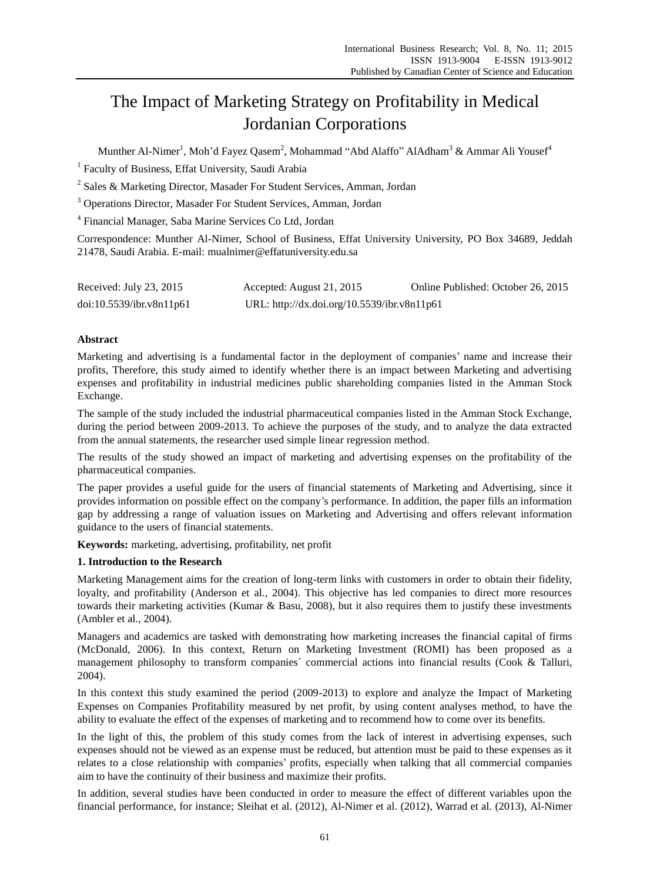# The Impact of Marketing Strategy on Profitability in Medical Jordanian Corporations

Munther Al-Nimer<sup>1</sup>, Moh'd Fayez Qasem<sup>2</sup>, Mohammad "Abd Alaffo" AlAdham<sup>3</sup> & Ammar Ali Yousef<sup>4</sup>

<sup>1</sup> Faculty of Business, Effat University, Saudi Arabia

<sup>2</sup> Sales & Marketing Director, Masader For Student Services, Amman, Jordan

<sup>3</sup> Operations Director, Masader For Student Services, Amman, Jordan

4 Financial Manager, Saba Marine Services Co Ltd, Jordan

Correspondence: Munther Al-Nimer, School of Business, Effat University University, PO Box 34689, Jeddah 21478, Saudi Arabia. E-mail: [mualnimer@effatuniversity.edu.sa](mailto:mualnimer@effatuniversity.edu.sa)

| Received: July 23, 2015  | Accepted: August 21, 2015                   | Online Published: October 26, 2015 |  |
|--------------------------|---------------------------------------------|------------------------------------|--|
| doi:10.5539/ibr.v8n11p61 | URL: http://dx.doi.org/10.5539/ibr.v8n11p61 |                                    |  |

## **Abstract**

Marketing and advertising is a fundamental factor in the deployment of companies' name and increase their profits, Therefore, this study aimed to identify whether there is an impact between Marketing and advertising expenses and profitability in industrial medicines public shareholding companies listed in the Amman Stock Exchange.

The sample of the study included the industrial pharmaceutical companies listed in the Amman Stock Exchange, during the period between 2009-2013. To achieve the purposes of the study, and to analyze the data extracted from the annual statements, the researcher used simple linear regression method.

The results of the study showed an impact of marketing and advertising expenses on the profitability of the pharmaceutical companies.

The paper provides a useful guide for the users of financial statements of Marketing and Advertising, since it provides information on possible effect on the company's performance. In addition, the paper fills an information gap by addressing a range of valuation issues on Marketing and Advertising and offers relevant information guidance to the users of financial statements.

**Keywords:** marketing, advertising, profitability, net profit

## **1. Introduction to the Research**

Marketing Management aims for the creation of long-term links with customers in order to obtain their fidelity, loyalty, and profitability (Anderson et al., 2004). This objective has led companies to direct more resources towards their marketing activities (Kumar & Basu, 2008), but it also requires them to justify these investments (Ambler et al., 2004).

Managers and academics are tasked with demonstrating how marketing increases the financial capital of firms (McDonald, 2006). In this context, Return on Marketing Investment (ROMI) has been proposed as a management philosophy to transform companies´ commercial actions into financial results (Cook & Talluri, 2004).

In this context this study examined the period (2009-2013) to explore and analyze the Impact of Marketing Expenses on Companies Profitability measured by net profit, by using content analyses method, to have the ability to evaluate the effect of the expenses of marketing and to recommend how to come over its benefits.

In the light of this, the problem of this study comes from the lack of interest in advertising expenses, such expenses should not be viewed as an expense must be reduced, but attention must be paid to these expenses as it relates to a close relationship with companies' profits, especially when talking that all commercial companies aim to have the continuity of their business and maximize their profits.

In addition, several studies have been conducted in order to measure the effect of different variables upon the financial performance, for instance; Sleihat et al. (2012), Al-Nimer et al. (2012), Warrad et al. (2013), Al-Nimer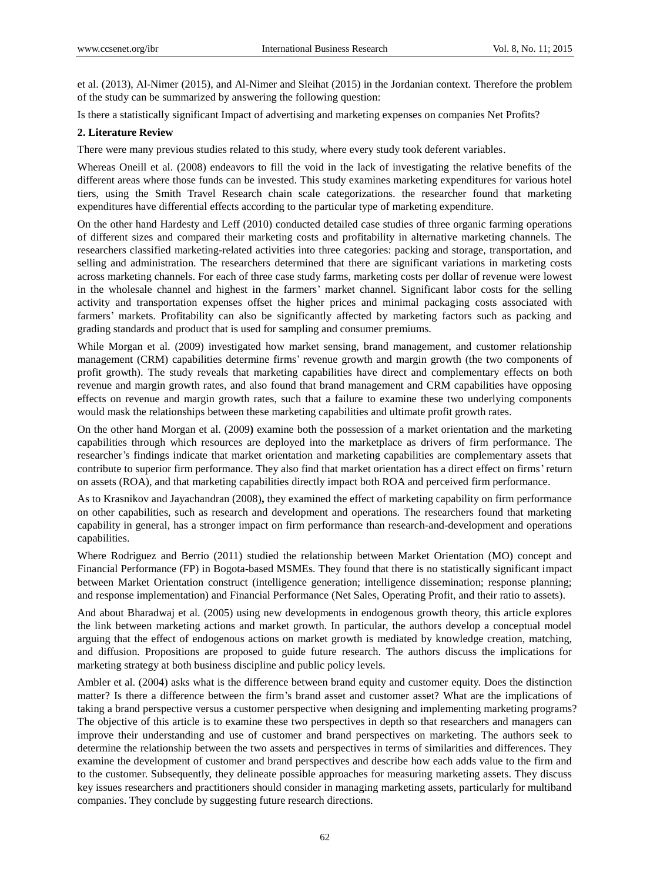et al. (2013), Al-Nimer (2015), and Al-Nimer and Sleihat (2015) in the Jordanian context. Therefore the problem of the study can be summarized by answering the following question:

Is there a statistically significant Impact of advertising and marketing expenses on companies Net Profits?

## **2. Literature Review**

There were many previous studies related to this study, where every study took deferent variables.

Whereas Oneill et al. (2008) endeavors to fill the void in the lack of investigating the relative benefits of the different areas where those funds can be invested. This study examines marketing expenditures for various hotel tiers, using the Smith Travel Research chain scale categorizations. the researcher found that marketing expenditures have differential effects according to the particular type of marketing expenditure.

On the other hand Hardesty and Leff (2010) conducted detailed case studies of three organic farming operations of different sizes and compared their marketing costs and profitability in alternative marketing channels. The researchers classified marketing-related activities into three categories: packing and storage, transportation, and selling and administration. The researchers determined that there are significant variations in marketing costs across marketing channels. For each of three case study farms, marketing costs per dollar of revenue were lowest in the wholesale channel and highest in the farmers' market channel. Significant labor costs for the selling activity and transportation expenses offset the higher prices and minimal packaging costs associated with farmers' markets. Profitability can also be significantly affected by marketing factors such as packing and grading standards and product that is used for sampling and consumer premiums.

While Morgan et al. (2009) investigated how market sensing, brand management, and customer relationship management (CRM) capabilities determine firms' revenue growth and margin growth (the two components of profit growth). The study reveals that marketing capabilities have direct and complementary effects on both revenue and margin growth rates, and also found that brand management and CRM capabilities have opposing effects on revenue and margin growth rates, such that a failure to examine these two underlying components would mask the relationships between these marketing capabilities and ultimate profit growth rates.

On the other hand Morgan et al. (2009**)** examine both the possession of a market orientation and the marketing capabilities through which resources are deployed into the marketplace as drivers of firm performance. The researcher's findings indicate that market orientation and marketing capabilities are complementary assets that contribute to superior firm performance. They also find that market orientation has a direct effect on firms' return on assets (ROA), and that marketing capabilities directly impact both ROA and perceived firm performance.

As to Krasnikov and Jayachandran (2008)**,** they examined the effect of marketing capability on firm performance on other capabilities, such as research and development and operations. The researchers found that marketing capability in general, has a stronger impact on firm performance than research-and-development and operations capabilities.

Where Rodriguez and Berrio (2011) studied the relationship between Market Orientation (MO) concept and Financial Performance (FP) in Bogota-based MSMEs. They found that there is no statistically significant impact between Market Orientation construct (intelligence generation; intelligence dissemination; response planning; and response implementation) and Financial Performance (Net Sales, Operating Profit, and their ratio to assets).

And about Bharadwaj et al. (2005) using new developments in endogenous growth theory, this article explores the link between marketing actions and market growth. In particular, the authors develop a conceptual model arguing that the effect of endogenous actions on market growth is mediated by knowledge creation, matching, and diffusion. Propositions are proposed to guide future research. The authors discuss the implications for marketing strategy at both business discipline and public policy levels.

Ambler et al. (2004) asks what is the difference between brand equity and customer equity. Does the distinction matter? Is there a difference between the firm's brand asset and customer asset? What are the implications of taking a brand perspective versus a customer perspective when designing and implementing marketing programs? The objective of this article is to examine these two perspectives in depth so that researchers and managers can improve their understanding and use of customer and brand perspectives on marketing. The authors seek to determine the relationship between the two assets and perspectives in terms of similarities and differences. They examine the development of customer and brand perspectives and describe how each adds value to the firm and to the customer. Subsequently, they delineate possible approaches for measuring marketing assets. They discuss key issues researchers and practitioners should consider in managing marketing assets, particularly for multiband companies. They conclude by suggesting future research directions.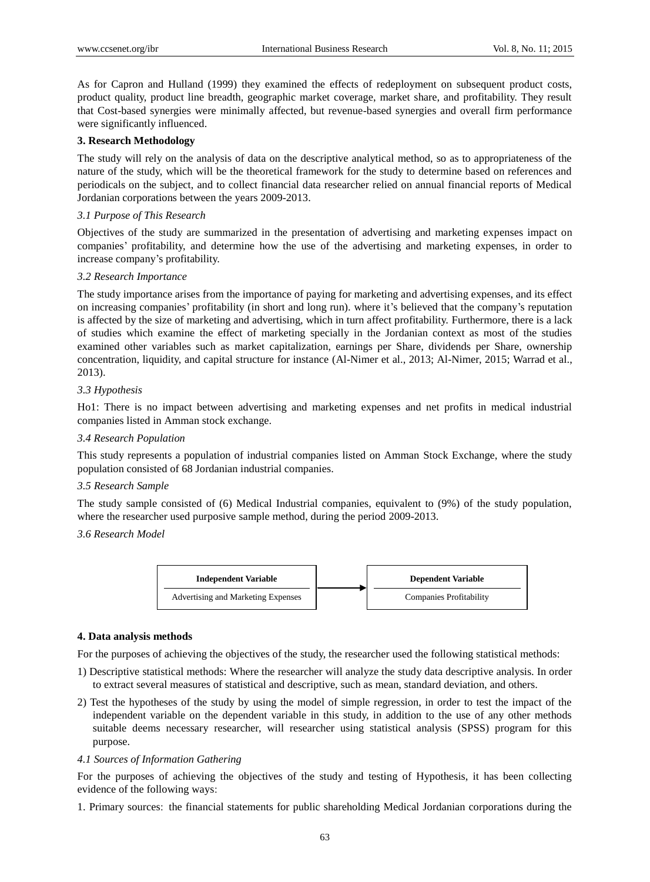As for Capron and Hulland (1999) they examined the effects of redeployment on subsequent product costs, product quality, product line breadth, geographic market coverage, market share, and profitability. They result that Cost-based synergies were minimally affected, but revenue-based synergies and overall firm performance were significantly influenced.

## **3. Research Methodology**

The study will rely on the analysis of data on the descriptive analytical method, so as to appropriateness of the nature of the study, which will be the theoretical framework for the study to determine based on references and periodicals on the subject, and to collect financial data researcher relied on annual financial reports of Medical Jordanian corporations between the years 2009-2013.

## *3.1 Purpose of This Research*

Objectives of the study are summarized in the presentation of advertising and marketing expenses impact on companies' profitability, and determine how the use of the advertising and marketing expenses, in order to increase company's profitability.

## *3.2 Research Importance*

The study importance arises from the importance of paying for marketing and advertising expenses, and its effect on increasing companies' profitability (in short and long run). where it's believed that the company's reputation is affected by the size of marketing and advertising, which in turn affect profitability. Furthermore, there is a lack of studies which examine the effect of marketing specially in the Jordanian context as most of the studies examined other variables such as market capitalization, earnings per Share, dividends per Share, ownership concentration, liquidity, and capital structure for instance (Al-Nimer et al., 2013; Al-Nimer, 2015; Warrad et al., 2013).

## *3.3 Hypothesis*

Ho1: There is no impact between advertising and marketing expenses and net profits in medical industrial companies listed in Amman stock exchange.

## *3.4 Research Population*

This study represents a population of industrial companies listed on Amman Stock Exchange, where the study population consisted of 68 Jordanian industrial companies.

#### *3.5 Research Sample*

The study sample consisted of (6) Medical Industrial companies, equivalent to (9%) of the study population, where the researcher used purposive sample method, during the period 2009-2013.

#### *3.6 Research Model*



#### **4. Data analysis methods**

For the purposes of achieving the objectives of the study, the researcher used the following statistical methods:

- 1) Descriptive statistical methods: Where the researcher will analyze the study data descriptive analysis. In order to extract several measures of statistical and descriptive, such as mean, standard deviation, and others.
- 2) Test the hypotheses of the study by using the model of simple regression, in order to test the impact of the independent variable on the dependent variable in this study, in addition to the use of any other methods suitable deems necessary researcher, will researcher using statistical analysis (SPSS) program for this purpose.

#### *4.1 Sources of Information Gathering*

For the purposes of achieving the objectives of the study and testing of Hypothesis, it has been collecting evidence of the following ways:

1. Primary sources: the financial statements for public shareholding Medical Jordanian corporations during the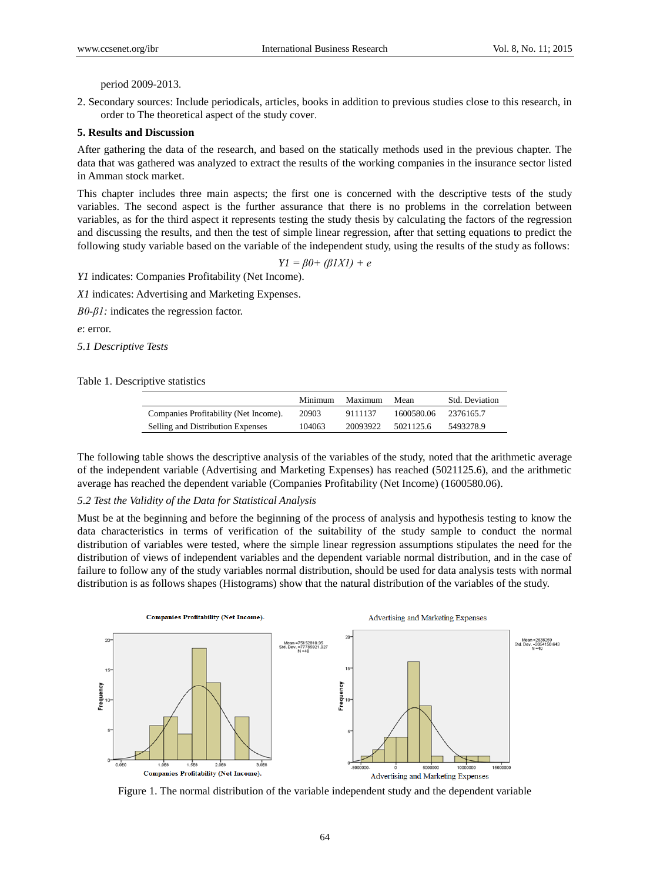period 2009-2013.

2. Secondary sources: Include periodicals, articles, books in addition to previous studies close to this research, in order to The theoretical aspect of the study cover.

#### **5. Results and Discussion**

After gathering the data of the research, and based on the statically methods used in the previous chapter. The data that was gathered was analyzed to extract the results of the working companies in the insurance sector listed in Amman stock market.

This chapter includes three main aspects; the first one is concerned with the descriptive tests of the study variables. The second aspect is the further assurance that there is no problems in the correlation between variables, as for the third aspect it represents testing the study thesis by calculating the factors of the regression and discussing the results, and then the test of simple linear regression, after that setting equations to predict the following study variable based on the variable of the independent study, using the results of the study as follows:

$$
YI = \beta 0 + (\beta IXI) + e
$$

*Y1* indicates: Companies Profitability (Net Income).

*X1* indicates: Advertising and Marketing Expenses.

*Β0*-*β1:* indicates the regression factor.

*e*: error.

*5.1 Descriptive Tests*

Table 1. Descriptive statistics

|                                       | Minimum | Maximum  | Mean       | <b>Std.</b> Deviation |
|---------------------------------------|---------|----------|------------|-----------------------|
| Companies Profitability (Net Income). | 20903   | 9111137  | 1600580.06 | 2376165.7             |
| Selling and Distribution Expenses     | 104063  | 20093922 | 5021125.6  | 5493278.9             |

The following table shows the descriptive analysis of the variables of the study, noted that the arithmetic average of the independent variable (Advertising and Marketing Expenses) has reached (5021125.6), and the arithmetic average has reached the dependent variable (Companies Profitability (Net Income) (1600580.06).

#### *5.2 Test the Validity of the Data for Statistical Analysis*

Must be at the beginning and before the beginning of the process of analysis and hypothesis testing to know the data characteristics in terms of verification of the suitability of the study sample to conduct the normal distribution of variables were tested, where the simple linear regression assumptions stipulates the need for the distribution of views of independent variables and the dependent variable normal distribution, and in the case of failure to follow any of the study variables normal distribution, should be used for data analysis tests with normal distribution is as follows shapes (Histograms) show that the natural distribution of the variables of the study.



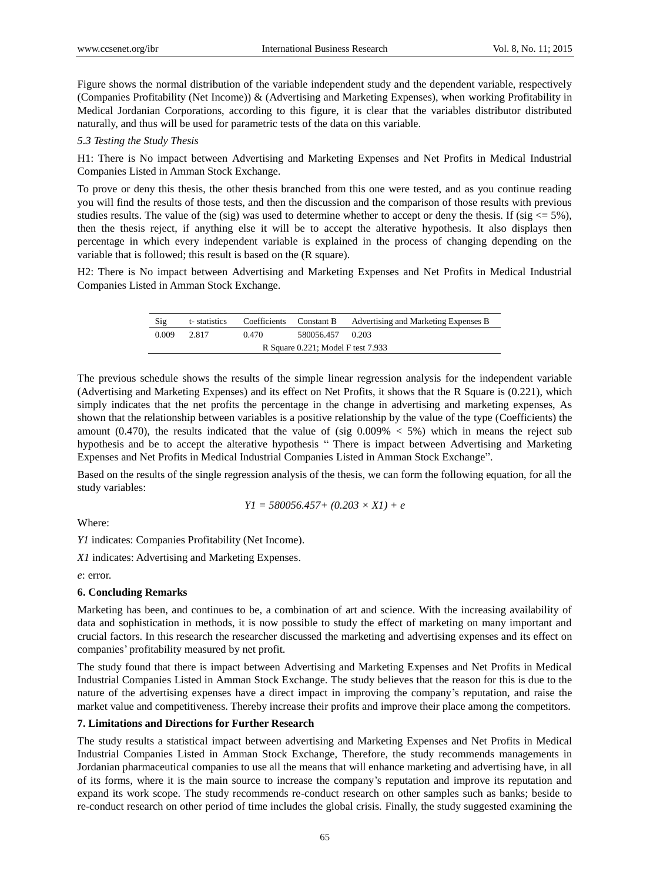Figure shows the normal distribution of the variable independent study and the dependent variable, respectively (Companies Profitability (Net Income)) & (Advertising and Marketing Expenses), when working Profitability in Medical Jordanian Corporations, according to this figure, it is clear that the variables distributor distributed naturally, and thus will be used for parametric tests of the data on this variable.

*5.3 Testing the Study Thesis*

H1: There is No impact between Advertising and Marketing Expenses and Net Profits in Medical Industrial Companies Listed in Amman Stock Exchange.

To prove or deny this thesis, the other thesis branched from this one were tested, and as you continue reading you will find the results of those tests, and then the discussion and the comparison of those results with previous studies results. The value of the (sig) was used to determine whether to accept or deny the thesis. If (sig  $\leq$  5%), then the thesis reject, if anything else it will be to accept the alterative hypothesis. It also displays then percentage in which every independent variable is explained in the process of changing depending on the variable that is followed; this result is based on the (R square).

H2: There is No impact between Advertising and Marketing Expenses and Net Profits in Medical Industrial Companies Listed in Amman Stock Exchange.

| Sig                                | t-statistics | Coefficients | Constant B       | Advertising and Marketing Expenses B |  |  |
|------------------------------------|--------------|--------------|------------------|--------------------------------------|--|--|
| 0.009                              | 2.817        | 0.470        | 580056.457 0.203 |                                      |  |  |
| R Square 0.221; Model F test 7.933 |              |              |                  |                                      |  |  |

The previous schedule shows the results of the simple linear regression analysis for the independent variable (Advertising and Marketing Expenses) and its effect on Net Profits, it shows that the R Square is (0.221), which simply indicates that the net profits the percentage in the change in advertising and marketing expenses, As shown that the relationship between variables is a positive relationship by the value of the type (Coefficients) the amount (0.470), the results indicated that the value of (sig  $0.009\% < 5\%$ ) which in means the reject sub hypothesis and be to accept the alterative hypothesis " There is impact between Advertising and Marketing Expenses and Net Profits in Medical Industrial Companies Listed in Amman Stock Exchange".

Based on the results of the single regression analysis of the thesis, we can form the following equation, for all the study variables:

$$
YI = 580056.457 + (0.203 \times XI) + e
$$

Where:

*Y1* indicates: Companies Profitability (Net Income).

*X1* indicates: Advertising and Marketing Expenses.

*e*: error.

## **6. Concluding Remarks**

Marketing has been, and continues to be, a combination of art and science. With the increasing availability of data and sophistication in methods, it is now possible to study the effect of marketing on many important and crucial factors. In this research the researcher discussed the marketing and advertising expenses and its effect on companies' profitability measured by net profit.

The study found that there is impact between Advertising and Marketing Expenses and Net Profits in Medical Industrial Companies Listed in Amman Stock Exchange. The study believes that the reason for this is due to the nature of the advertising expenses have a direct impact in improving the company's reputation, and raise the market value and competitiveness. Thereby increase their profits and improve their place among the competitors.

#### **7. Limitations and Directions for Further Research**

The study results a statistical impact between advertising and Marketing Expenses and Net Profits in Medical Industrial Companies Listed in Amman Stock Exchange, Therefore, the study recommends managements in Jordanian pharmaceutical companies to use all the means that will enhance marketing and advertising have, in all of its forms, where it is the main source to increase the company's reputation and improve its reputation and expand its work scope. The study recommends re-conduct research on other samples such as banks; beside to re-conduct research on other period of time includes the global crisis. Finally, the study suggested examining the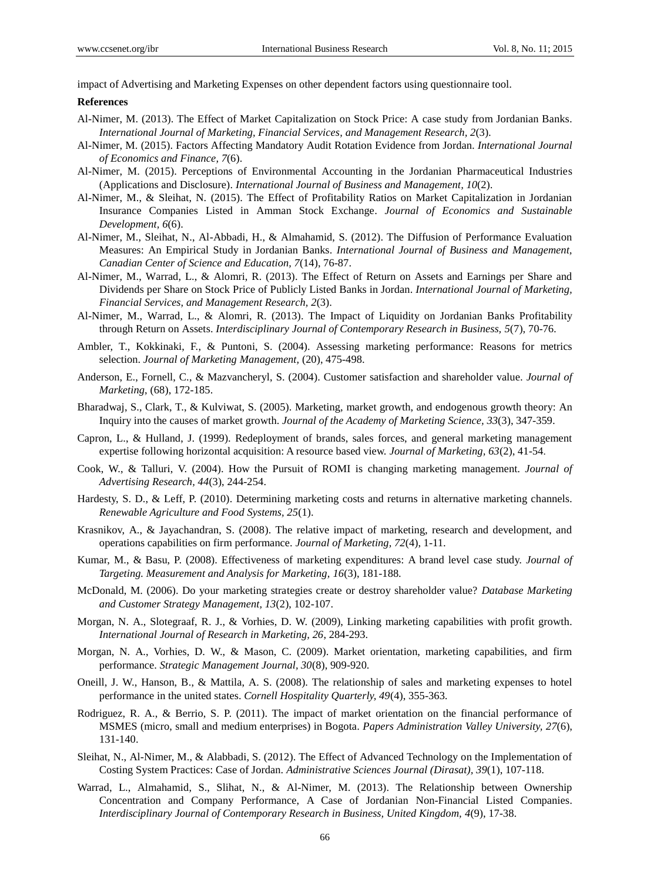impact of Advertising and Marketing Expenses on other dependent factors using questionnaire tool.

#### **References**

- Al-Nimer, M. (2013). The Effect of Market Capitalization on Stock Price: A case study from Jordanian Banks. *International Journal of Marketing, Financial Services, and Management Research, 2*(3).
- Al-Nimer, M. (2015). Factors Affecting Mandatory Audit Rotation Evidence from Jordan. *International Journal of Economics and Finance, 7*(6).
- Al-Nimer, M. (2015). Perceptions of Environmental Accounting in the Jordanian Pharmaceutical Industries (Applications and Disclosure). *International Journal of Business and Management, 10*(2).
- Al-Nimer, M., & Sleihat, N. (2015). The Effect of Profitability Ratios on Market Capitalization in Jordanian Insurance Companies Listed in Amman Stock Exchange. *Journal of Economics and Sustainable Development, 6*(6).
- Al-Nimer, M., Sleihat, N., Al-Abbadi, H., & Almahamid, S. (2012). The Diffusion of Performance Evaluation Measures: An Empirical Study in Jordanian Banks. *International Journal of Business and Management, Canadian Center of Science and Education, 7*(14), 76-87.
- Al-Nimer, M., Warrad, L., & Alomri, R. (2013). The Effect of Return on Assets and Earnings per Share and Dividends per Share on Stock Price of Publicly Listed Banks in Jordan. *International Journal of Marketing, Financial Services, and Management Research, 2*(3).
- Al-Nimer, M., Warrad, L., & Alomri, R. (2013). The Impact of Liquidity on Jordanian Banks Profitability through Return on Assets. *Interdisciplinary Journal of Contemporary Research in Business, 5*(7), 70-76.
- Ambler, T., Kokkinaki, F., & Puntoni, S. (2004). Assessing marketing performance: Reasons for metrics selection. *Journal of Marketing Management,* (20), 475-498.
- Anderson, E., Fornell, C., & Mazvancheryl, S. (2004). Customer satisfaction and shareholder value. *Journal of Marketing*, (68), 172-185.
- Bharadwaj, S., Clark, T., & Kulviwat, S. (2005). Marketing, market growth, and endogenous growth theory: An Inquiry into the causes of market growth. *Journal of the Academy of Marketing Science, 33*(3), 347-359.
- Capron, L., & Hulland, J. (1999). Redeployment of brands, sales forces, and general marketing management expertise following horizontal acquisition: A resource based view. *Journal of Marketing, 63*(2), 41-54.
- Cook, W., & Talluri, V. (2004). How the Pursuit of ROMI is changing marketing management. *Journal of Advertising Research, 44*(3), 244-254.
- Hardesty, S. D., & Leff, P. (2010). Determining marketing costs and returns in alternative marketing channels. *Renewable Agriculture and Food Systems, 25*(1).
- Krasnikov, A., & Jayachandran, S. (2008). The relative impact of marketing, research and development, and operations capabilities on firm performance. *Journal of Marketing, 72*(4), 1-11.
- Kumar, M., & Basu, P. (2008). Effectiveness of marketing expenditures: A brand level case study. *Journal of Targeting. Measurement and Analysis for Marketing, 16*(3), 181-188.
- McDonald, M. (2006). Do your marketing strategies create or destroy shareholder value? *Database Marketing and Customer Strategy Management, 13*(2), 102-107.
- Morgan, N. A., Slotegraaf, R. J., & Vorhies, D. W. (2009), Linking marketing capabilities with profit growth. *International Journal of Research in Marketing, 26*, 284-293.
- Morgan, N. A., Vorhies, D. W., & Mason, C. (2009). Market orientation, marketing capabilities, and firm performance. *Strategic Management Journal, 30*(8), 909-920.
- Oneill, J. W., Hanson, B., & Mattila, A. S. (2008). The relationship of sales and marketing expenses to hotel performance in the united states. *Cornell Hospitality Quarterly, 49*(4), 355-363.
- Rodriguez, R. A., & Berrio, S. P. (2011). The impact of market orientation on the financial performance of MSMES (micro, small and medium enterprises) in Bogota. *Papers Administration Valley University, 27*(6), 131-140.
- Sleihat, N., Al-Nimer, M., & Alabbadi, S. (2012). The Effect of Advanced Technology on the Implementation of Costing System Practices: Case of Jordan. *Administrative Sciences Journal (Dirasat), 39*(1), 107-118.
- Warrad, L., Almahamid, S., Slihat, N., & Al-Nimer, M. (2013). The Relationship between Ownership Concentration and Company Performance, A Case of Jordanian Non-Financial Listed Companies. *Interdisciplinary Journal of Contemporary Research in Business, United Kingdom, 4*(9), 17-38.